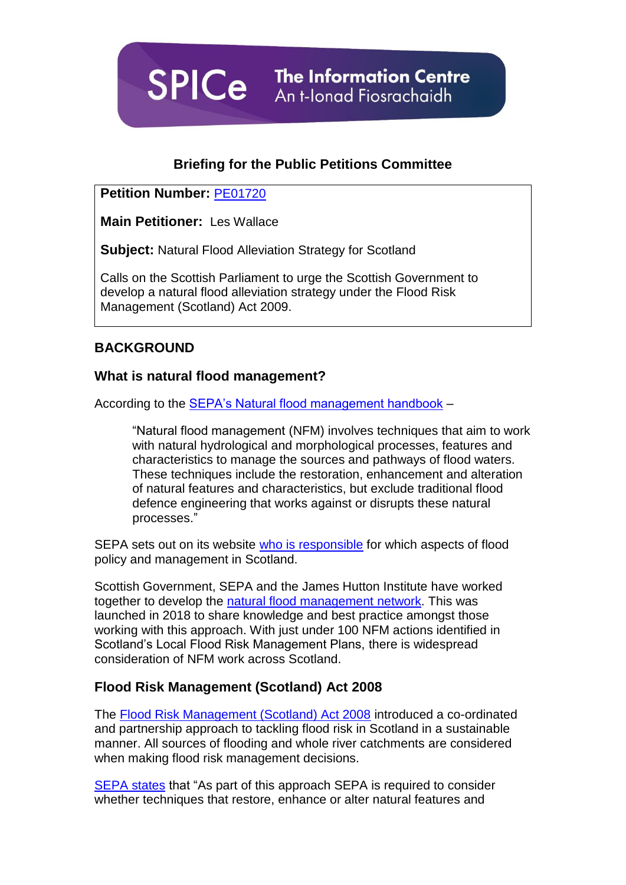

### **Briefing for the Public Petitions Committee**

#### **Petition Number:** [PE01720](http://external.parliament.scot/GettingInvolved/Petitions/PE01720)

**Main Petitioner:** Les Wallace

**Subject:** Natural Flood Alleviation Strategy for Scotland

Calls on the Scottish Parliament to urge the Scottish Government to develop a natural flood alleviation strategy under the Flood Risk Management (Scotland) Act 2009.

## **BACKGROUND**

#### **What is natural flood management?**

According to the [SEPA's Natural flood management handbook](https://www.sepa.org.uk/media/163560/sepa-natural-flood-management-handbook1.pdf) –

"Natural flood management (NFM) involves techniques that aim to work with natural hydrological and morphological processes, features and characteristics to manage the sources and pathways of flood waters. These techniques include the restoration, enhancement and alteration of natural features and characteristics, but exclude traditional flood defence engineering that works against or disrupts these natural processes."

SEPA sets out on its website [who is responsible](https://www.sepa.org.uk/environment/water/flooding/responsibilities-for-flooding/) for which aspects of flood policy and management in Scotland.

Scottish Government, SEPA and the James Hutton Institute have worked together to develop the [natural flood management network.](https://www.nfm.scot/about-us) This was launched in 2018 to share knowledge and best practice amongst those working with this approach. With just under 100 NFM actions identified in Scotland's Local Flood Risk Management Plans, there is widespread consideration of NFM work across Scotland.

#### **Flood Risk Management (Scotland) Act 2008**

The [Flood Risk Management \(Scotland\) Act 2008](http://www.legislation.gov.uk/asp/2009/6/part/1) introduced a co-ordinated and partnership approach to tackling flood risk in Scotland in a sustainable manner. All sources of flooding and whole river catchments are considered when making flood risk management decisions.

[SEPA states](https://www.sepa.org.uk/media/163410/nfm_summary.pdf) that "As part of this approach SEPA is required to consider whether techniques that restore, enhance or alter natural features and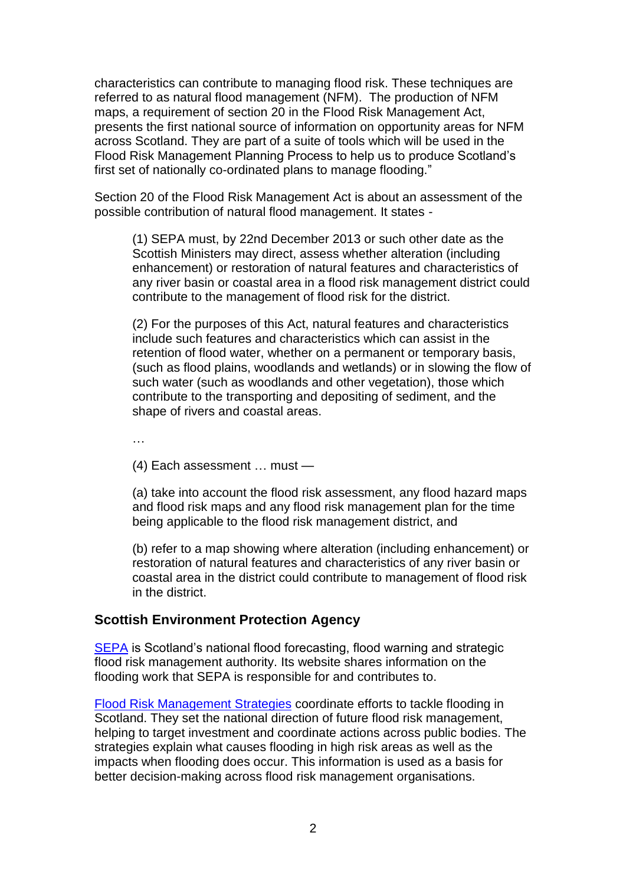characteristics can contribute to managing flood risk. These techniques are referred to as natural flood management (NFM). The production of NFM maps, a requirement of section 20 in the Flood Risk Management Act, presents the first national source of information on opportunity areas for NFM across Scotland. They are part of a suite of tools which will be used in the Flood Risk Management Planning Process to help us to produce Scotland's first set of nationally co-ordinated plans to manage flooding."

Section 20 of the Flood Risk Management Act is about an assessment of the possible contribution of natural flood management. It states *-*

(1) SEPA must, by 22nd December 2013 or such other date as the Scottish Ministers may direct, assess whether alteration (including enhancement) or restoration of natural features and characteristics of any river basin or coastal area in a flood risk management district could contribute to the management of flood risk for the district.

(2) For the purposes of this Act, natural features and characteristics include such features and characteristics which can assist in the retention of flood water, whether on a permanent or temporary basis, (such as flood plains, woodlands and wetlands) or in slowing the flow of such water (such as woodlands and other vegetation), those which contribute to the transporting and depositing of sediment, and the shape of rivers and coastal areas.

…

(4) Each assessment … must —

(a) take into account the flood risk assessment, any flood hazard maps and flood risk maps and any flood risk management plan for the time being applicable to the flood risk management district, and

(b) refer to a map showing where alteration (including enhancement) or restoration of natural features and characteristics of any river basin or coastal area in the district could contribute to management of flood risk in the district.

#### **Scottish Environment Protection Agency**

[SEPA](https://www.sepa.org.uk/environment/water/flooding/) is Scotland's national flood forecasting, flood warning and strategic flood risk management authority. Its website shares information on the flooding work that SEPA is responsible for and contributes to.

[Flood Risk Management Strategies](http://apps.sepa.org.uk/FRMStrategies/) coordinate efforts to tackle flooding in Scotland. They set the national direction of future flood risk management, helping to target investment and coordinate actions across public bodies. The strategies explain what causes flooding in high risk areas as well as the impacts when flooding does occur. This information is used as a basis for better decision-making across flood risk management organisations.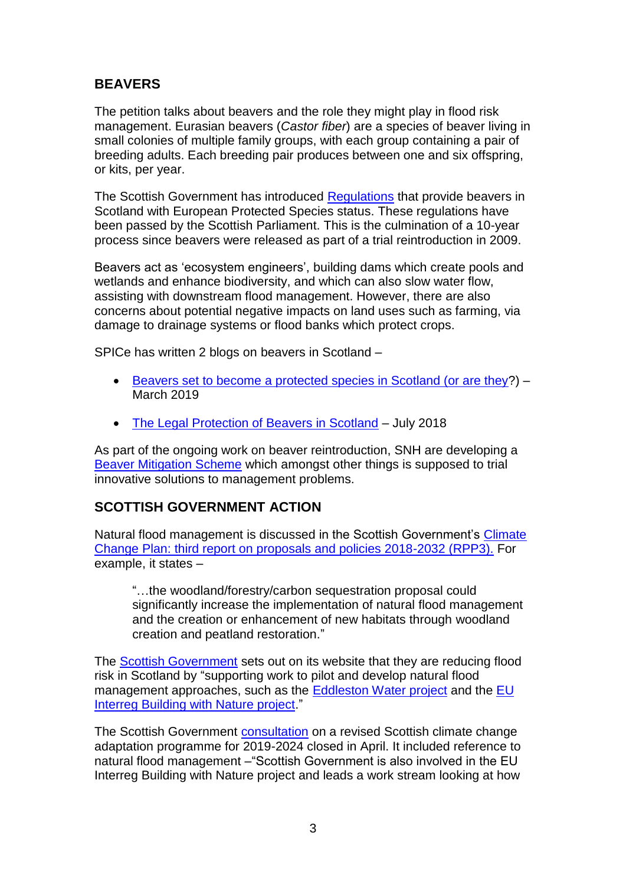# **BEAVERS**

The petition talks about beavers and the role they might play in flood risk management. Eurasian beavers (*Castor fiber*) are a species of beaver living in small colonies of multiple family groups, with each group containing a pair of breeding adults. Each breeding pair produces between one and six offspring, or kits, per year.

The Scottish Government has introduced [Regulations](http://www.legislation.gov.uk/ssi/2019/64/regulation/2/made) that provide beavers in Scotland with European Protected Species status. These regulations have been passed by the Scottish Parliament. This is the culmination of a 10-year process since beavers were released as part of a trial reintroduction in 2009.

Beavers act as 'ecosystem engineers', building dams which create pools and wetlands and enhance biodiversity, and which can also slow water flow, assisting with downstream flood management. However, there are also concerns about potential negative impacts on land uses such as farming, via damage to drainage systems or flood banks which protect crops.

SPICe has written 2 blogs on beavers in Scotland –

- Beavers set to become [a protected species in Scotland \(or are they?](https://spice-spotlight.scot/2019/03/18/beavers-set-to-become-a-protected-species-in-scotland-or-are-they/)) March 2019
- [The Legal Protection of Beavers in Scotland](https://spice-spotlight.scot/2018/07/02/the-legal-protection-of-beavers-in-scotland/) July 2018

As part of the ongoing work on beaver reintroduction, SNH are developing a [Beaver Mitigation Scheme](https://www.nature.scot/professional-advice/safeguarding-protected-areas-and-species/protected-species/protected-species-z-guide/protected-species-beaver/beaver-mitigation) which amongst other things is supposed to trial innovative solutions to management problems.

## **SCOTTISH GOVERNMENT ACTION**

Natural flood management is discussed in the Scottish Government's [Climate](https://www.gov.scot/publications/scottish-governments-climate-change-plan-third-report-proposals-policies-2018/)  [Change Plan: third report on proposals and policies 2018-2032 \(RPP3\).](https://www.gov.scot/publications/scottish-governments-climate-change-plan-third-report-proposals-policies-2018/) For example, it states –

"…the woodland/forestry/carbon sequestration proposal could significantly increase the implementation of natural flood management and the creation or enhancement of new habitats through woodland creation and peatland restoration."

The [Scottish Government](https://www.gov.scot/policies/water/managing-flood-risk/) sets out on its website that they are reducing flood risk in Scotland by "supporting work to pilot and develop natural flood management approaches, such as the [Eddleston Water project](http://tweedforum.org/our-work/projects/the-eddleston-water-project/) and the [EU](http://www.northsearegion.eu/building-with-nature)  [Interreg Building with Nature project.](http://www.northsearegion.eu/building-with-nature)"

The Scottish Government [consultation](https://www.gov.scot/publications/climate-ready-scotland-scottish-climate-change-adaptation-programme-2019-2024-consultation-draft/pages/2/) on a revised Scottish climate change adaptation programme for 2019-2024 closed in April. It included reference to natural flood management –"Scottish Government is also involved in the EU Interreg Building with Nature project and leads a work stream looking at how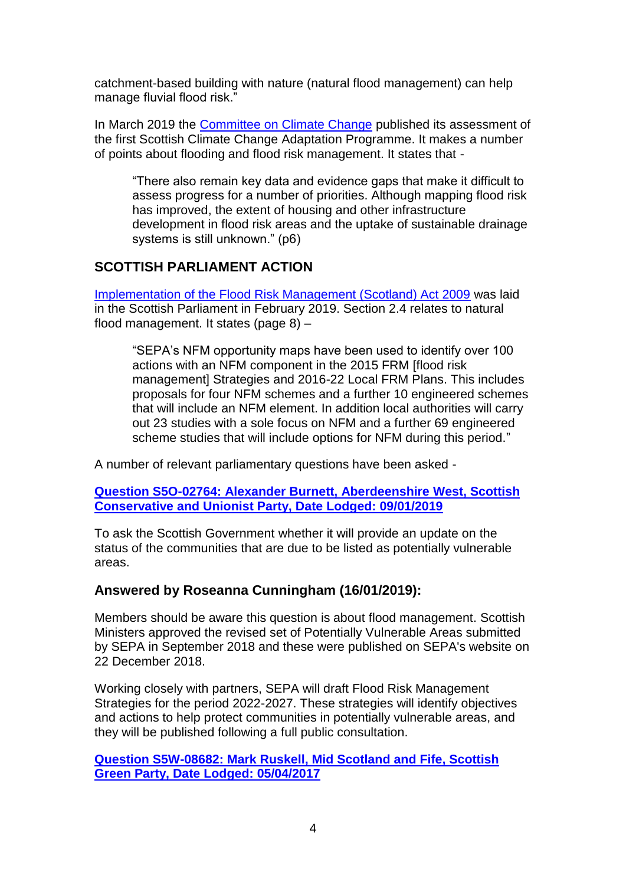catchment-based building with nature (natural flood management) can help manage fluvial flood risk."

In March 2019 the [Committee on Climate Change](https://www.theccc.org.uk/wp-content/uploads/2019/03/Final-Assessment-of-the-first-SCCAP-CCC-2019.pdf) published its assessment of the first Scottish Climate Change Adaptation Programme. It makes a number of points about flooding and flood risk management. It states that -

"There also remain key data and evidence gaps that make it difficult to assess progress for a number of priorities. Although mapping flood risk has improved, the extent of housing and other infrastructure development in flood risk areas and the uptake of sustainable drainage systems is still unknown." (p6)

## **SCOTTISH PARLIAMENT ACTION**

[Implementation of the Flood Risk Management \(Scotland\) Act 2009](https://www.gov.scot/binaries/content/documents/govscot/publications/publication/2019/02/implementation-flood-risk-management-scotland-act-2009-report-scottish-parliament/documents/00546042-pdf/00546042-pdf/govscot%3Adocument/00546042.pdf) was laid in the Scottish Parliament in February 2019. Section 2.4 relates to natural flood management. It states (page 8) –

"SEPA's NFM opportunity maps have been used to identify over 100 actions with an NFM component in the 2015 FRM [flood risk management] Strategies and 2016-22 Local FRM Plans. This includes proposals for four NFM schemes and a further 10 engineered schemes that will include an NFM element. In addition local authorities will carry out 23 studies with a sole focus on NFM and a further 69 engineered scheme studies that will include options for NFM during this period."

A number of relevant parliamentary questions have been asked -

**[Question S5O-02764: Alexander Burnett, Aberdeenshire](javascript:WebForm_DoPostBackWithOptions(new%20WebForm_PostBackOptions(%22MAQA_Search$gvResults$ctl00$ctl06$lnkIndividualQuestion%22,%20%22%22,%20true,%20%22%22,%20%22%22,%20false,%20true))) West, Scottish [Conservative and Unionist Party, Date Lodged: 09/01/2019](javascript:WebForm_DoPostBackWithOptions(new%20WebForm_PostBackOptions(%22MAQA_Search$gvResults$ctl00$ctl06$lnkIndividualQuestion%22,%20%22%22,%20true,%20%22%22,%20%22%22,%20false,%20true)))**

To ask the Scottish Government whether it will provide an update on the status of the communities that are due to be listed as potentially vulnerable areas.

#### **Answered by Roseanna Cunningham (16/01/2019):**

Members should be aware this question is about flood management. Scottish Ministers approved the revised set of Potentially Vulnerable Areas submitted by SEPA in September 2018 and these were published on SEPA's website on 22 December 2018.

Working closely with partners, SEPA will draft Flood Risk Management Strategies for the period 2022-2027. These strategies will identify objectives and actions to help protect communities in potentially vulnerable areas, and they will be published following a full public consultation.

**[Question S5W-08682: Mark Ruskell, Mid Scotland and Fife, Scottish](javascript:WebForm_DoPostBackWithOptions(new%20WebForm_PostBackOptions(%22MAQA_Search$gvResults$ctl00$ctl18$lnkIndividualQuestion%22,%20%22%22,%20true,%20%22%22,%20%22%22,%20false,%20true)))  [Green Party, Date Lodged: 05/04/2017](javascript:WebForm_DoPostBackWithOptions(new%20WebForm_PostBackOptions(%22MAQA_Search$gvResults$ctl00$ctl18$lnkIndividualQuestion%22,%20%22%22,%20true,%20%22%22,%20%22%22,%20false,%20true)))**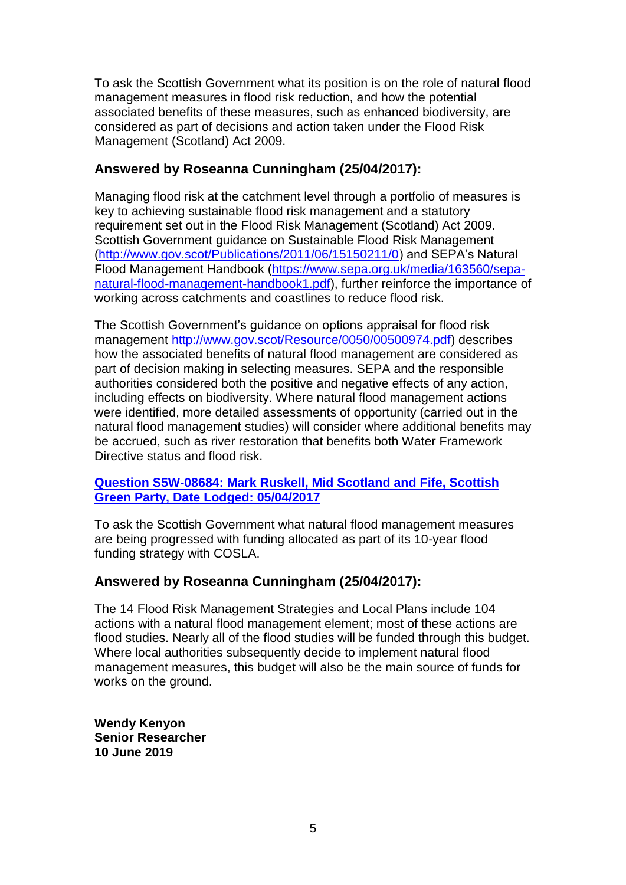To ask the Scottish Government what its position is on the role of natural flood management measures in flood risk reduction, and how the potential associated benefits of these measures, such as enhanced biodiversity, are considered as part of decisions and action taken under the Flood Risk Management (Scotland) Act 2009.

## **Answered by Roseanna Cunningham (25/04/2017):**

Managing flood risk at the catchment level through a portfolio of measures is key to achieving sustainable flood risk management and a statutory requirement set out in the Flood Risk Management (Scotland) Act 2009. Scottish Government guidance on Sustainable Flood Risk Management [\(http://www.gov.scot/Publications/2011/06/15150211/0\)](http://www.gov.scot/Publications/2011/06/15150211/0) and SEPA's Natural Flood Management Handbook [\(https://www.sepa.org.uk/media/163560/sepa](https://www.sepa.org.uk/media/163560/sepa-natural-flood-management-handbook1.pdf)[natural-flood-management-handbook1.pdf\)](https://www.sepa.org.uk/media/163560/sepa-natural-flood-management-handbook1.pdf), further reinforce the importance of working across catchments and coastlines to reduce flood risk.

The Scottish Government's guidance on options appraisal for flood risk management [http://www.gov.scot/Resource/0050/00500974.pdf\)](http://www.gov.scot/Resource/0050/00500974.pdf) describes how the associated benefits of natural flood management are considered as part of decision making in selecting measures. SEPA and the responsible authorities considered both the positive and negative effects of any action, including effects on biodiversity. Where natural flood management actions were identified, more detailed assessments of opportunity (carried out in the natural flood management studies) will consider where additional benefits may be accrued, such as river restoration that benefits both Water Framework Directive status and flood risk.

#### **[Question S5W-08684: Mark Ruskell, Mid Scotland and Fife, Scottish](javascript:WebForm_DoPostBackWithOptions(new%20WebForm_PostBackOptions(%22MAQA_Search$gvResults$ctl00$ctl22$lnkIndividualQuestion%22,%20%22%22,%20true,%20%22%22,%20%22%22,%20false,%20true)))  [Green Party, Date Lodged: 05/04/2017](javascript:WebForm_DoPostBackWithOptions(new%20WebForm_PostBackOptions(%22MAQA_Search$gvResults$ctl00$ctl22$lnkIndividualQuestion%22,%20%22%22,%20true,%20%22%22,%20%22%22,%20false,%20true)))**

To ask the Scottish Government what natural flood management measures are being progressed with funding allocated as part of its 10-year flood funding strategy with COSLA.

## **Answered by Roseanna Cunningham (25/04/2017):**

The 14 Flood Risk Management Strategies and Local Plans include 104 actions with a natural flood management element; most of these actions are flood studies. Nearly all of the flood studies will be funded through this budget. Where local authorities subsequently decide to implement natural flood management measures, this budget will also be the main source of funds for works on the ground.

**Wendy Kenyon Senior Researcher 10 June 2019**